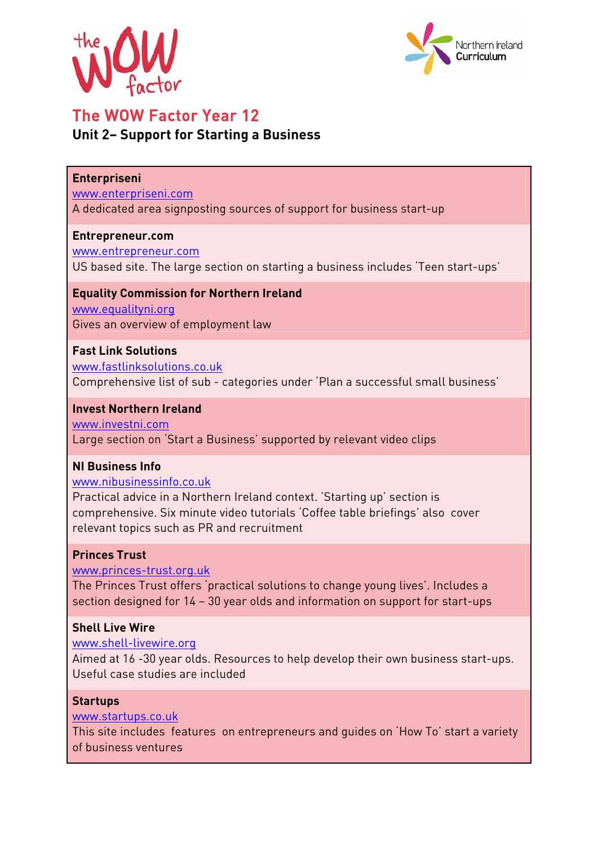



# The WOW Factor Year 12

## **Unit 2– Support for Starting a Business**

#### **Enterpriseni**

www.enterpriseni.com

A dedicated area signposting sources of support for business start-up

#### **Entrepreneur.com**

www.entrepreneur.com

US based site. The large section on starting a business includes 'Teen start-ups'

#### **Equality Commission for Northern Ireland**

www.equalityni.org Gives an overview of employment law

#### **Fast Link Solutions**

www.fastlinksolutions.co.uk Comprehensive list of sub - categories under 'Plan a successful small business'

#### **Invest Northern Ireland**

www.investni.com Large section on 'Start a Business' supported by relevant video clips

#### **NI Business Info**

www.nibusinessinfo.co.uk

Practical advice in a Northern Ireland context. 'Starting up' section is comprehensive. Six minute video tutorials 'Coffee table briefings' also cover relevant topics such as PR and recruitment

### **Princes Trust**

www.princes-trust.org.uk

The Princes Trust offers 'practical solutions to change young lives'. Includes a section designed for 14 – 30 year olds and information on support for start-ups

#### **Shell Live Wire**

www.shell-livewire.org Aimed at 16 -30 year olds. Resources to help develop their own business start-ups. Useful case studies are included

## **Startups**

www.startups.co.uk

This site includes features on entrepreneurs and guides on 'How To' start a variety of business ventures